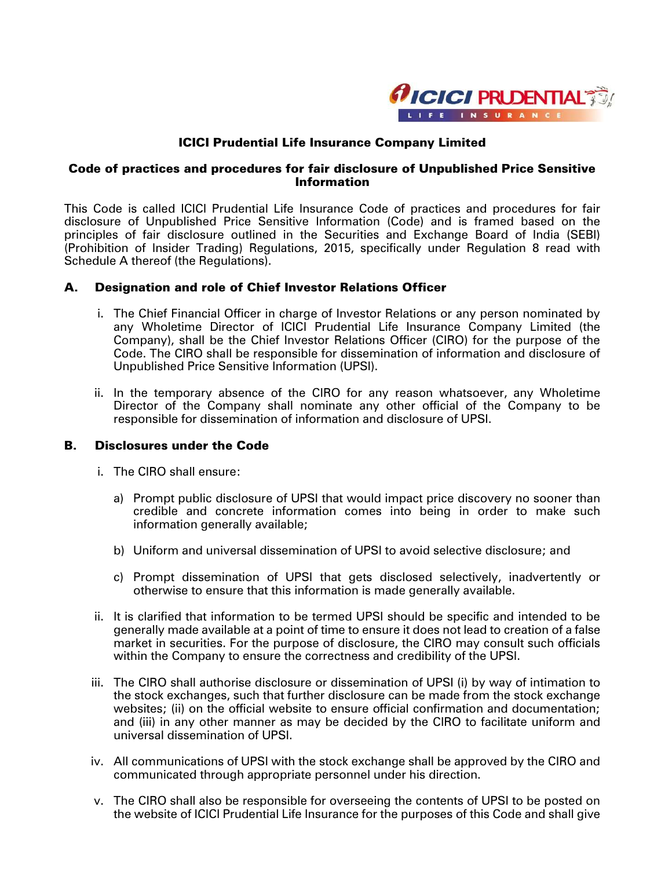

# ICICI Prudential Life Insurance Company Limited

## Code of practices and procedures for fair disclosure of Unpublished Price Sensitive **Information**

This Code is called ICICI Prudential Life Insurance Code of practices and procedures for fair disclosure of Unpublished Price Sensitive Information (Code) and is framed based on the principles of fair disclosure outlined in the Securities and Exchange Board of India (SEBI) (Prohibition of Insider Trading) Regulations, 2015, specifically under Regulation 8 read with Schedule A thereof (the Regulations).

# A. Designation and role of Chief Investor Relations Officer

- i. The Chief Financial Officer in charge of Investor Relations or any person nominated by any Wholetime Director of ICICI Prudential Life Insurance Company Limited (the Company), shall be the Chief Investor Relations Officer (CIRO) for the purpose of the Code. The CIRO shall be responsible for dissemination of information and disclosure of Unpublished Price Sensitive Information (UPSI).
- ii. In the temporary absence of the CIRO for any reason whatsoever, any Wholetime Director of the Company shall nominate any other official of the Company to be responsible for dissemination of information and disclosure of UPSI.

## B. Disclosures under the Code

- i. The CIRO shall ensure:
	- a) Prompt public disclosure of UPSI that would impact price discovery no sooner than credible and concrete information comes into being in order to make such information generally available;
	- b) Uniform and universal dissemination of UPSI to avoid selective disclosure; and
	- c) Prompt dissemination of UPSI that gets disclosed selectively, inadvertently or otherwise to ensure that this information is made generally available.
- ii. It is clarified that information to be termed UPSI should be specific and intended to be generally made available at a point of time to ensure it does not lead to creation of a false market in securities. For the purpose of disclosure, the CIRO may consult such officials within the Company to ensure the correctness and credibility of the UPSI.
- iii. The CIRO shall authorise disclosure or dissemination of UPSI (i) by way of intimation to the stock exchanges, such that further disclosure can be made from the stock exchange websites; (ii) on the official website to ensure official confirmation and documentation; and (iii) in any other manner as may be decided by the CIRO to facilitate uniform and universal dissemination of UPSI.
- iv. All communications of UPSI with the stock exchange shall be approved by the CIRO and communicated through appropriate personnel under his direction.
- v. The CIRO shall also be responsible for overseeing the contents of UPSI to be posted on the website of ICICI Prudential Life Insurance for the purposes of this Code and shall give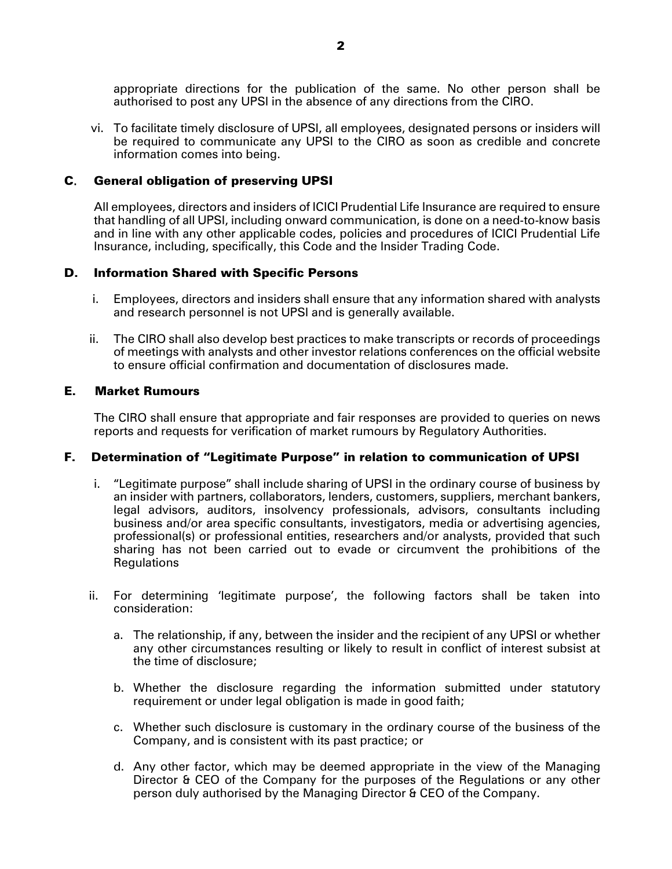appropriate directions for the publication of the same. No other person shall be authorised to post any UPSI in the absence of any directions from the CIRO.

vi. To facilitate timely disclosure of UPSI, all employees, designated persons or insiders will be required to communicate any UPSI to the CIRO as soon as credible and concrete information comes into being.

## C. General obligation of preserving UPSI

All employees, directors and insiders of ICICI Prudential Life Insurance are required to ensure that handling of all UPSI, including onward communication, is done on a need-to-know basis and in line with any other applicable codes, policies and procedures of ICICI Prudential Life Insurance, including, specifically, this Code and the Insider Trading Code.

#### D. Information Shared with Specific Persons

- i. Employees, directors and insiders shall ensure that any information shared with analysts and research personnel is not UPSI and is generally available.
- ii. The CIRO shall also develop best practices to make transcripts or records of proceedings of meetings with analysts and other investor relations conferences on the official website to ensure official confirmation and documentation of disclosures made.

#### E. Market Rumours

The CIRO shall ensure that appropriate and fair responses are provided to queries on news reports and requests for verification of market rumours by Regulatory Authorities.

#### F. Determination of "Legitimate Purpose" in relation to communication of UPSI

- i. "Legitimate purpose" shall include sharing of UPSI in the ordinary course of business by an insider with partners, collaborators, lenders, customers, suppliers, merchant bankers, legal advisors, auditors, insolvency professionals, advisors, consultants including business and/or area specific consultants, investigators, media or advertising agencies, professional(s) or professional entities, researchers and/or analysts, provided that such sharing has not been carried out to evade or circumvent the prohibitions of the Regulations
- ii. For determining 'legitimate purpose', the following factors shall be taken into consideration:
	- a. The relationship, if any, between the insider and the recipient of any UPSI or whether any other circumstances resulting or likely to result in conflict of interest subsist at the time of disclosure;
	- b. Whether the disclosure regarding the information submitted under statutory requirement or under legal obligation is made in good faith;
	- c. Whether such disclosure is customary in the ordinary course of the business of the Company, and is consistent with its past practice; or
	- d. Any other factor, which may be deemed appropriate in the view of the Managing Director & CEO of the Company for the purposes of the Regulations or any other person duly authorised by the Managing Director & CEO of the Company.